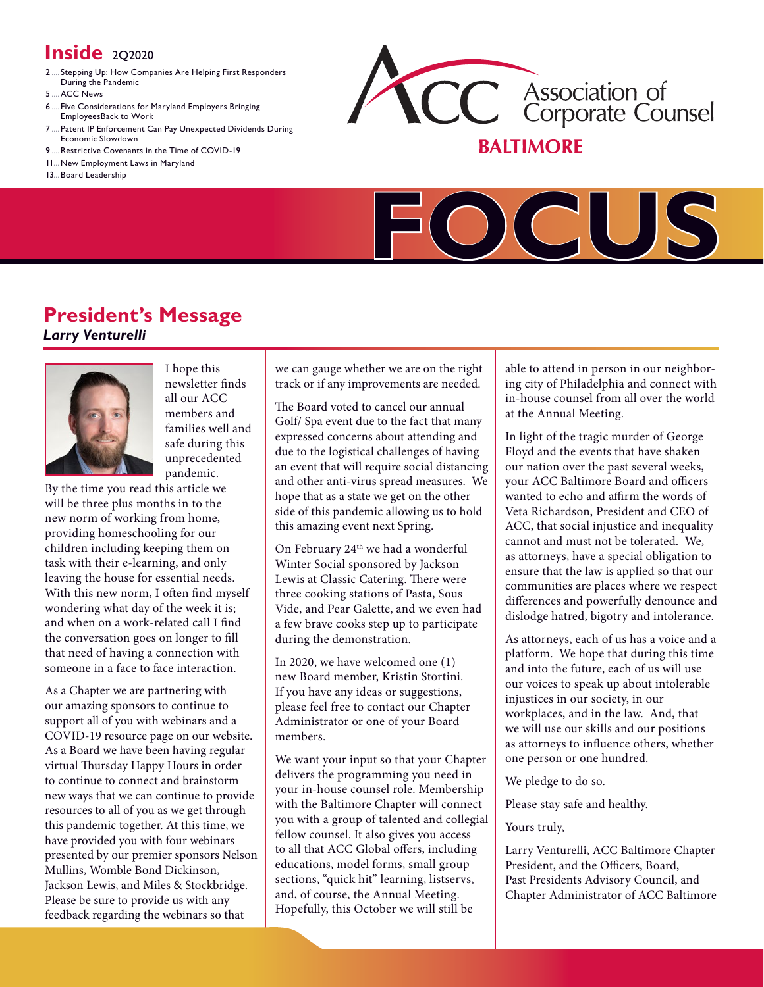# **Inside** 2Q2020

- 2 .... Stepping Up: How Companies Are Helping First [Responders](#page-1-0) During the [Pandemic](#page-1-0)
- 5 ACC News
- 6 .... Five [Considerations](#page-5-0) for Maryland Employers Bringing [EmployeesBack](#page-5-0) to Work
- Patent IP [Enforcement](#page-6-0) Can Pay Unexpected Dividends During Economic [Slowdown](#page-6-0)
- [9 ....Restrictive](#page-8-0) Covenants in the Time of COVID-19
- 11 ...New [Employment](#page-10-0) Laws in Maryland
- 13 ...Board [Leadership](#page-12-0)





## **President's Message**  *Larry Venturelli*



I hope this newsletter fnds all our ACC members and families well and safe during this unprecedented pandemic.

By the time you read this article we will be three plus months in to the new norm of working from home, providing homeschooling for our children including keeping them on task with their e-learning, and only leaving the house for essential needs. With this new norm, I often find myself wondering what day of the week it is; and when on a work-related call I find the conversation goes on longer to fll that need of having a connection with someone in a face to face interaction.

As a Chapter we are partnering with our amazing sponsors to continue to support all of you with webinars and a COVID-19 resource page on our website. As a Board we have been having regular virtual Thursday Happy Hours in order to continue to connect and brainstorm new ways that we can continue to provide resources to all of you as we get through this pandemic together. At this time, we have provided you with four webinars presented by our premier sponsors Nelson Mullins, Womble Bond Dickinson, Jackson Lewis, and Miles & Stockbridge. Please be sure to provide us with any feedback regarding the webinars so that

we can gauge whether we are on the right track or if any improvements are needed.

The Board voted to cancel our annual Golf/ Spa event due to the fact that many expressed concerns about attending and due to the logistical challenges of having an event that will require social distancing and other anti-virus spread measures. We hope that as a state we get on the other side of this pandemic allowing us to hold this amazing event next Spring.

On February 24<sup>th</sup> we had a wonderful Winter Social sponsored by Jackson Lewis at Classic Catering. There were three cooking stations of Pasta, Sous Vide, and Pear Galette, and we even had a few brave cooks step up to participate during the demonstration.

In 2020, we have welcomed one (1) new Board member, Kristin Stortini. If you have any ideas or suggestions, please feel free to contact our Chapter Administrator or one of your Board members.

We want your input so that your Chapter delivers the programming you need in your in-house counsel role. Membership with the Baltimore Chapter will connect you with a group of talented and collegial fellow counsel. It also gives you access to all that ACC Global offers, including educations, model forms, small group sections, "quick hit" learning, listservs, and, of course, the Annual Meeting. Hopefully, this October we will still be

able to attend in person in our neighboring city of Philadelphia and connect with in-house counsel from all over the world at the Annual Meeting.

In light of the tragic murder of George Floyd and the events that have shaken our nation over the past several weeks, your ACC Baltimore Board and officers wanted to echo and affirm the words of Veta Richardson, President and CEO of ACC, that social injustice and inequality cannot and must not be tolerated. We, as attorneys, have a special obligation to ensure that the law is applied so that our communities are places where we respect diferences and powerfully denounce and dislodge hatred, bigotry and intolerance.

As attorneys, each of us has a voice and a platform. We hope that during this time and into the future, each of us will use our voices to speak up about intolerable injustices in our society, in our workplaces, and in the law. And, that we will use our skills and our positions as attorneys to infuence others, whether one person or one hundred.

We pledge to do so.

Please stay safe and healthy.

Yours truly,

Larry Venturelli, ACC Baltimore Chapter President, and the Officers, Board, Past Presidents Advisory Council, and Chapter Administrator of ACC Baltimore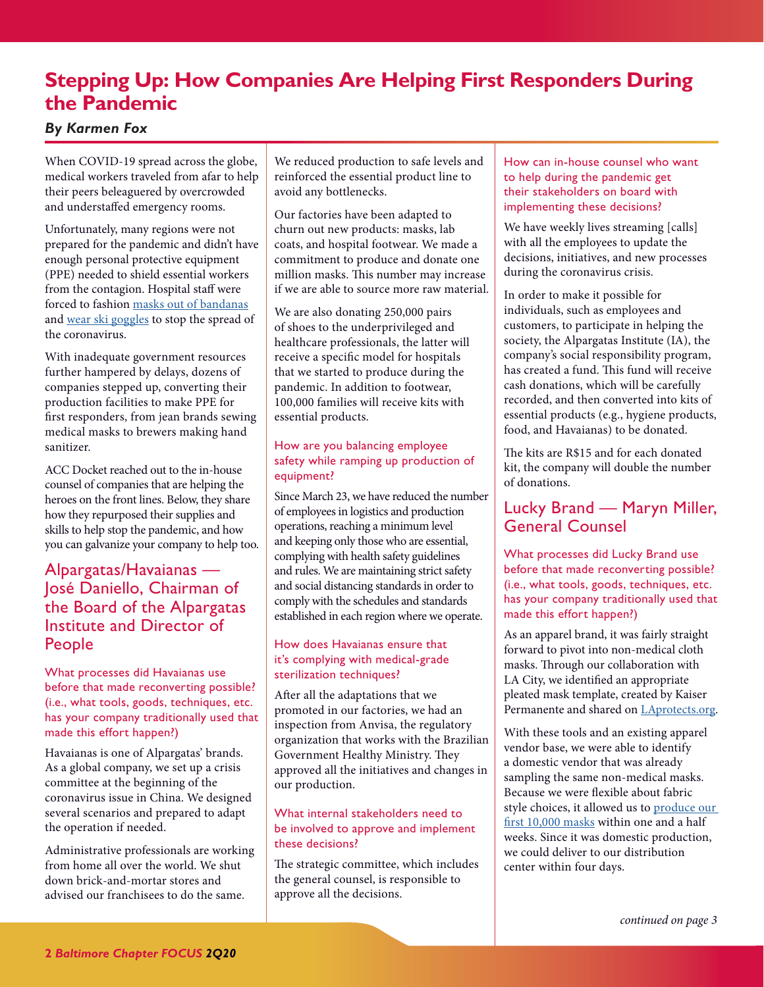# <span id="page-1-1"></span><span id="page-1-0"></span>**Stepping Up: How Companies Are Helping First Responders During the Pandemic**

### *By Karmen Fox*

When COVID-19 spread across the globe, medical workers traveled from afar to help their peers beleaguered by overcrowded and understafed emergency rooms.

Unfortunately, many regions were not prepared for the pandemic and didn't have enough personal protective equipment (PPE) needed to shield essential workers from the contagion. Hospital staff were forced to fashion [masks out of bandanas](https://www.businessinsider.com/cdc-recommends-health-workers-use-bandanas-face-masks-crisis-2020-3) and [wear ski goggles](https://www.npr.org/sections/coronavirus-live-updates/2020/03/24/820788936/nurses-are-facing-coronavirus-without-enough-protective-gear) to stop the spread of the coronavirus.

With inadequate government resources further hampered by delays, dozens of companies stepped up, converting their production facilities to make PPE for frst responders, from jean brands sewing medical masks to brewers making hand sanitizer.

ACC Docket reached out to the in-house counsel of companies that are helping the heroes on the front lines. Below, they share how they repurposed their supplies and skills to help stop the pandemic, and how you can galvanize your company to help too.

## Alpargatas/Havaianas — José Daniello, Chairman of the Board of the Alpargatas Institute and Director of People

What processes did Havaianas use before that made reconverting possible? (i.e., what tools, goods, techniques, etc. has your company traditionally used that made this effort happen?)

Havaianas is one of Alpargatas' brands. As a global company, we set up a crisis committee at the beginning of the coronavirus issue in China. We designed several scenarios and prepared to adapt the operation if needed.

Administrative professionals are working from home all over the world. We shut down brick-and-mortar stores and advised our franchisees to do the same.

We reduced production to safe levels and reinforced the essential product line to avoid any bottlenecks.

Our factories have been adapted to churn out new products: masks, lab coats, and hospital footwear. We made a commitment to produce and donate one million masks. This number may increase if we are able to source more raw material.

We are also donating 250,000 pairs of shoes to the underprivileged and healthcare professionals, the latter will receive a specifc model for hospitals that we started to produce during the pandemic. In addition to footwear, 100,000 families will receive kits with essential products.

#### How are you balancing employee safety while ramping up production of equipment?

Since March 23, we have reduced the number of employees in logistics and production operations, reaching a minimum level and keeping only those who are essential, complying with health safety guidelines and rules. We are maintaining strict safety and social distancing standards in order to comply with the schedules and standards established in each region where we operate.

#### How does Havaianas ensure that it's complying with medical-grade sterilization techniques?

Afer all the adaptations that we promoted in our factories, we had an inspection from Anvisa, the regulatory organization that works with the Brazilian Government Healthy Ministry. They approved all the initiatives and changes in our production.

#### What internal stakeholders need to be involved to approve and implement these decisions?

The strategic committee, which includes the general counsel, is responsible to approve all the decisions.

How can in-house counsel who want to help during the pandemic get their stakeholders on board with implementing these decisions?

We have weekly lives streaming [calls] with all the employees to update the decisions, initiatives, and new processes during the coronavirus crisis.

In order to make it possible for individuals, such as employees and customers, to participate in helping the society, the Alpargatas Institute (IA), the company's social responsibility program, has created a fund. This fund will receive cash donations, which will be carefully recorded, and then converted into kits of essential products (e.g., hygiene products, food, and Havaianas) to be donated.

The kits are R\$15 and for each donated kit, the company will double the number of donations.

## Lucky Brand — Maryn Miller, General Counsel

What processes did Lucky Brand use before that made reconverting possible? (i.e., what tools, goods, techniques, etc. has your company traditionally used that made this effort happen?)

As an apparel brand, it was fairly straight forward to pivot into non-medical cloth masks. Through our collaboration with LA City, we identifed an appropriate pleated mask template, created by Kaiser Permanente and shared on [LAprotects.org.](https://laprotects.org/)

With these tools and an existing apparel vendor base, we were able to identify a domestic vendor that was already sampling the same non-medical masks. Because we were fexible about fabric style choices, it allowed us to [produce our](https://www.luckybrand.com/luckytogether)  f[rst 10,000 masks](https://www.luckybrand.com/luckytogether) within one and a half weeks. Since it was domestic production, we could deliver to our distribution center within four days.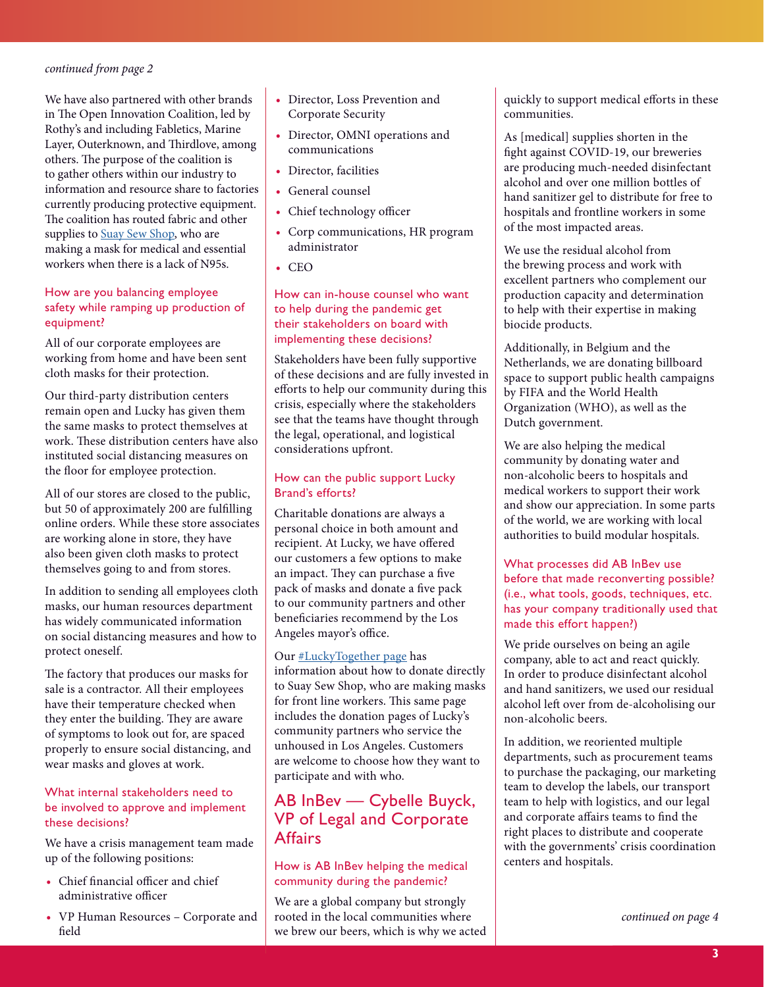<span id="page-2-0"></span>We have also partnered with other brands in The Open Innovation Coalition, led by Rothy's and including Fabletics, Marine Layer, Outerknown, and Thirdlove, among others. The purpose of the coalition is to gather others within our industry to information and resource share to factories currently producing protective equipment. The coalition has routed fabric and other supplies to [Suay Sew Shop,](https://suayla.com/) who are making a mask for medical and essential workers when there is a lack of N95s.

#### How are you balancing employee safety while ramping up production of equipment?

All of our corporate employees are working from home and have been sent cloth masks for their protection.

Our third-party distribution centers remain open and Lucky has given them the same masks to protect themselves at work. These distribution centers have also instituted social distancing measures on the floor for employee protection.

All of our stores are closed to the public, but 50 of approximately 200 are fulflling online orders. While these store associates are working alone in store, they have also been given cloth masks to protect themselves going to and from stores.

In addition to sending all employees cloth masks, our human resources department has widely communicated information on social distancing measures and how to protect oneself.

The factory that produces our masks for sale is a contractor. All their employees have their temperature checked when they enter the building. They are aware of symptoms to look out for, are spaced properly to ensure social distancing, and wear masks and gloves at work.

#### What internal stakeholders need to be involved to approve and implement these decisions?

We have a crisis management team made up of the following positions:

- Chief financial officer and chief administrative officer
- **•** VP Human Resources Corporate and feld
- **•** Director, Loss Prevention and Corporate Security
- **•** Director, OMNI operations and communications
- **•** Director, facilities
- **•** General counsel
- Chief technology officer
- **•** Corp communications, HR program administrator
- **•** CEO

How can in-house counsel who want to help during the pandemic get their stakeholders on board with implementing these decisions?

Stakeholders have been fully supportive of these decisions and are fully invested in eforts to help our community during this crisis, especially where the stakeholders see that the teams have thought through the legal, operational, and logistical considerations upfront.

#### How can the public support Lucky Brand's efforts?

Charitable donations are always a personal choice in both amount and recipient. At Lucky, we have ofered our customers a few options to make an impact. They can purchase a five pack of masks and donate a five pack to our community partners and other benefciaries recommend by the Los Angeles mayor's office.

Our [#LuckyTogether page](https://www.luckybrand.com/luckytogether) has information about how to donate directly to Suay Sew Shop, who are making masks for front line workers. This same page includes the donation pages of Lucky's community partners who service the unhoused in Los Angeles. Customers are welcome to choose how they want to participate and with who.

## AB InBev — Cybelle Buyck, VP of Legal and Corporate **Affairs**

#### How is AB InBev helping the medical community during the pandemic?

We are a global company but strongly rooted in the local communities where we brew our beers, which is why we acted quickly to support medical eforts in these communities.

As [medical] supplies shorten in the fght against COVID-19, our breweries are producing much-needed disinfectant alcohol and over one million bottles of hand sanitizer gel to distribute for free to hospitals and frontline workers in some of the most impacted areas.

We use the residual alcohol from the brewing process and work with excellent partners who complement our production capacity and determination to help with their expertise in making biocide products.

Additionally, in Belgium and the Netherlands, we are donating billboard space to support public health campaigns by FIFA and the World Health Organization (WHO), as well as the Dutch government.

We are also helping the medical community by donating water and non-alcoholic beers to hospitals and medical workers to support their work and show our appreciation. In some parts of the world, we are working with local authorities to build modular hospitals.

#### What processes did AB InBev use before that made reconverting possible? (i.e., what tools, goods, techniques, etc. has your company traditionally used that made this effort happen?)

We pride ourselves on being an agile company, able to act and react quickly. In order to produce disinfectant alcohol and hand sanitizers, we used our residual alcohol left over from de-alcoholising our non-alcoholic beers.

In addition, we reoriented multiple departments, such as procurement teams to purchase the packaging, our marketing team to develop the labels, our transport team to help with logistics, and our legal and corporate afairs teams to fnd the right places to distribute and cooperate with the governments' crisis coordination centers and hospitals.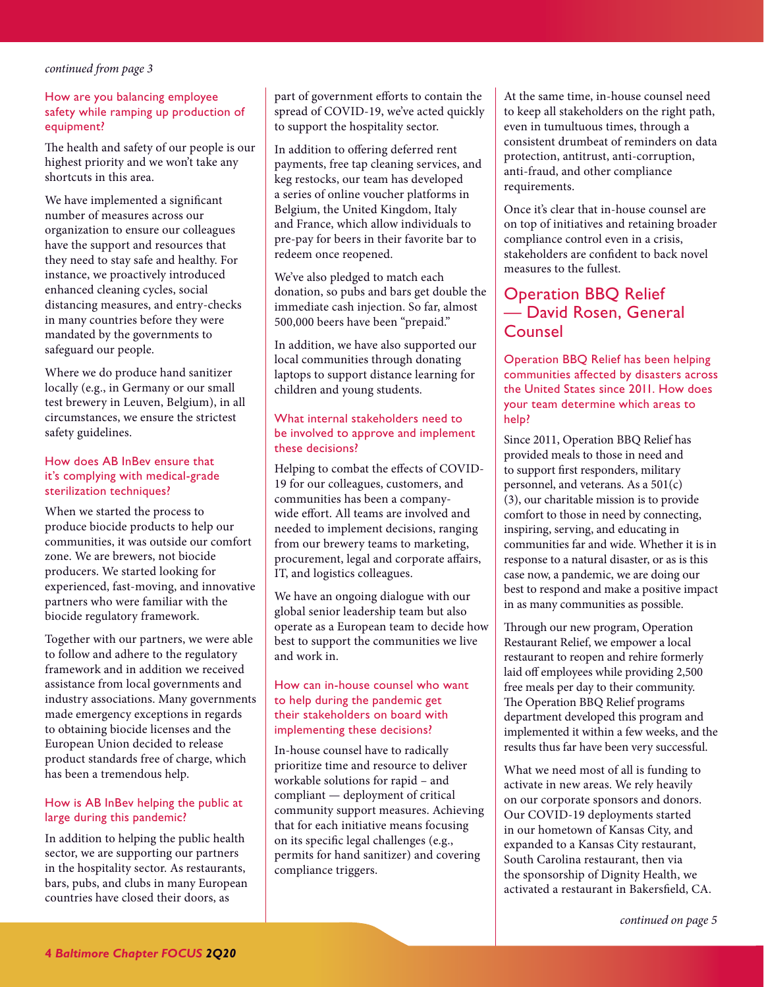#### <span id="page-3-0"></span>How are you balancing employee safety while ramping up production of equipment?

The health and safety of our people is our highest priority and we won't take any shortcuts in this area.

We have implemented a signifcant number of measures across our organization to ensure our colleagues have the support and resources that they need to stay safe and healthy. For instance, we proactively introduced enhanced cleaning cycles, social distancing measures, and entry-checks in many countries before they were mandated by the governments to safeguard our people.

Where we do produce hand sanitizer locally (e.g., in Germany or our small test brewery in Leuven, Belgium), in all circumstances, we ensure the strictest safety guidelines.

#### How does AB InBev ensure that it's complying with medical-grade sterilization techniques?

When we started the process to produce biocide products to help our communities, it was outside our comfort zone. We are brewers, not biocide producers. We started looking for experienced, fast-moving, and innovative partners who were familiar with the biocide regulatory framework.

Together with our partners, we were able to follow and adhere to the regulatory framework and in addition we received assistance from local governments and industry associations. Many governments made emergency exceptions in regards to obtaining biocide licenses and the European Union decided to release product standards free of charge, which has been a tremendous help.

#### How is AB InBev helping the public at large during this pandemic?

In addition to helping the public health sector, we are supporting our partners in the hospitality sector. As restaurants, bars, pubs, and clubs in many European countries have closed their doors, as

part of government efforts to contain the spread of COVID-19, we've acted quickly to support the hospitality sector.

In addition to ofering deferred rent payments, free tap cleaning services, and keg restocks, our team has developed a series of online voucher platforms in Belgium, the United Kingdom, Italy and France, which allow individuals to pre-pay for beers in their favorite bar to redeem once reopened.

We've also pledged to match each donation, so pubs and bars get double the immediate cash injection. So far, almost 500,000 beers have been "prepaid."

In addition, we have also supported our local communities through donating laptops to support distance learning for children and young students.

#### What internal stakeholders need to be involved to approve and implement these decisions?

Helping to combat the efects of COVID-19 for our colleagues, customers, and communities has been a companywide efort. All teams are involved and needed to implement decisions, ranging from our brewery teams to marketing, procurement, legal and corporate afairs, IT, and logistics colleagues.

We have an ongoing dialogue with our global senior leadership team but also operate as a European team to decide how best to support the communities we live and work in.

#### How can in-house counsel who want to help during the pandemic get their stakeholders on board with implementing these decisions?

In-house counsel have to radically prioritize time and resource to deliver workable solutions for rapid – and compliant — deployment of critical community support measures. Achieving that for each initiative means focusing on its specifc legal challenges (e.g., permits for hand sanitizer) and covering compliance triggers.

At the same time, in-house counsel need to keep all stakeholders on the right path, even in tumultuous times, through a consistent drumbeat of reminders on data protection, antitrust, anti-corruption, anti-fraud, and other compliance requirements.

Once it's clear that in-house counsel are on top of initiatives and retaining broader compliance control even in a crisis, stakeholders are confdent to back novel measures to the fullest.

## Operation BBQ Relief — David Rosen, General Counsel

Operation BBQ Relief has been helping communities affected by disasters across the United States since 2011. How does your team determine which areas to help?

Since 2011, Operation BBQ Relief has provided meals to those in need and to support frst responders, military personnel, and veterans. As a 501(c) (3), our charitable mission is to provide comfort to those in need by connecting, inspiring, serving, and educating in communities far and wide. Whether it is in response to a natural disaster, or as is this case now, a pandemic, we are doing our best to respond and make a positive impact in as many communities as possible.

Through our new program, Operation Restaurant Relief, we empower a local restaurant to reopen and rehire formerly laid off employees while providing 2,500 free meals per day to their community. The Operation BBQ Relief programs department developed this program and implemented it within a few weeks, and the results thus far have been very successful.

What we need most of all is funding to activate in new areas. We rely heavily on our corporate sponsors and donors. Our COVID-19 deployments started in our hometown of Kansas City, and expanded to a Kansas City restaurant, South Carolina restaurant, then via the sponsorship of Dignity Health, we activated a restaurant in Bakersfeld, CA.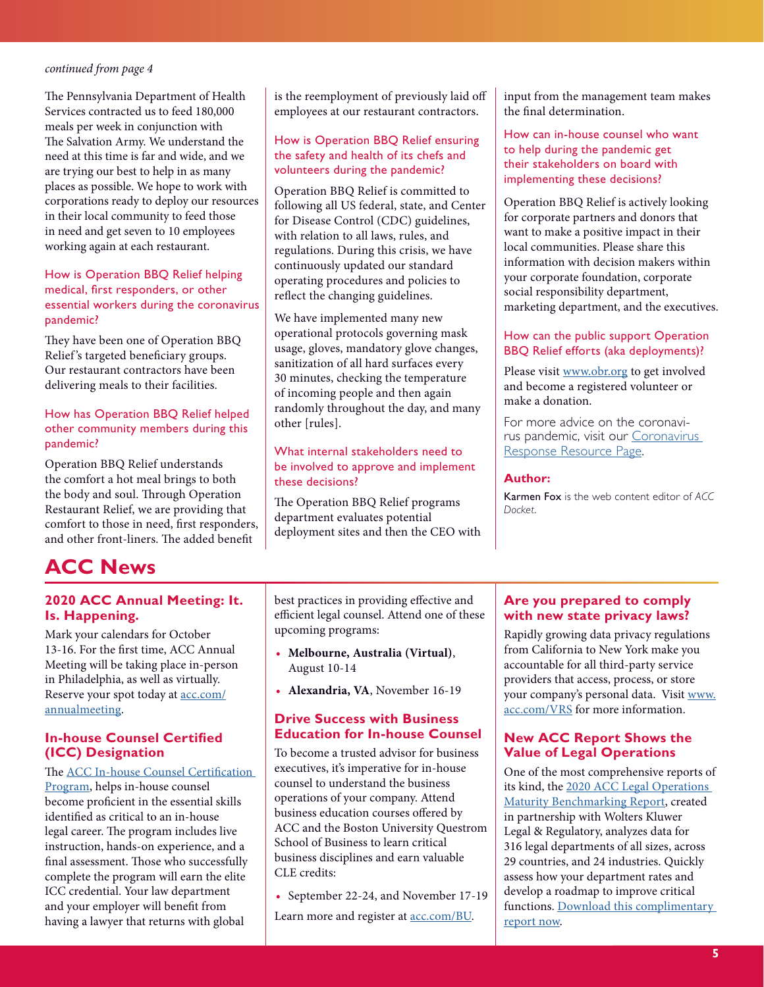<span id="page-4-1"></span>The Pennsylvania Department of Health Services contracted us to feed 180,000 meals per week in conjunction with The Salvation Army. We understand the need at this time is far and wide, and we are trying our best to help in as many places as possible. We hope to work with corporations ready to deploy our resources in their local community to feed those in need and get seven to 10 employees working again at each restaurant.

#### How is Operation BBQ Relief helping medical, first responders, or other essential workers during the coronavirus pandemic?

They have been one of Operation BBQ Relief's targeted beneficiary groups. Our restaurant contractors have been delivering meals to their facilities.

#### How has Operation BBQ Relief helped other community members during this pandemic?

Operation BBQ Relief understands the comfort a hot meal brings to both the body and soul. Through Operation Restaurant Relief, we are providing that comfort to those in need, frst responders, and other front-liners. The added benefit

#### is the reemployment of previously laid of employees at our restaurant contractors.

#### How is Operation BBQ Relief ensuring the safety and health of its chefs and volunteers during the pandemic?

Operation BBQ Relief is committed to following all US federal, state, and Center for Disease Control (CDC) guidelines, with relation to all laws, rules, and regulations. During this crisis, we have continuously updated our standard operating procedures and policies to refect the changing guidelines.

We have implemented many new operational protocols governing mask usage, gloves, mandatory glove changes, sanitization of all hard surfaces every 30 minutes, checking the temperature of incoming people and then again randomly throughout the day, and many other [rules].

#### What internal stakeholders need to be involved to approve and implement these decisions?

The Operation BBQ Relief programs department evaluates potential deployment sites and then the CEO with input from the management team makes the fnal determination.

#### How can in-house counsel who want to help during the pandemic get their stakeholders on board with implementing these decisions?

Operation BBQ Relief is actively looking for corporate partners and donors that want to make a positive impact in their local communities. Please share this information with decision makers within your corporate foundation, corporate social responsibility department, marketing department, and the executives.

#### How can the public support Operation BBQ Relief efforts (aka deployments)?

Please visit [www.obr.org](https://operationbbqrelief.org/) to get involved and become a registered volunteer or make a donation.

For more advice on the coronavirus pandemic, visit our [Coronavirus](https://www.acc.com/covid-resources)  [Response Resource Page](https://www.acc.com/covid-resources).

#### **Author:**

Karmen Fox is the web content editor of *ACC Docket*.

# <span id="page-4-0"></span>**ACC News**

#### **2020 ACC Annual Meeting: It. Is. Happening.**

Mark your calendars for October 13-16. For the frst time, ACC Annual Meeting will be taking place in-person in Philadelphia, as well as virtually. Reserve your spot today at [acc.com/](http://acc.com/annualmeeting) [annualmeeting](http://acc.com/annualmeeting).

### **In-house Counsel Certified (ICC) Designation**

#### The [ACC In-house Counsel Certi](https://www.acc.com/certification/)fication

[Program,](https://www.acc.com/certification/) helps in-house counsel become profcient in the essential skills identifed as critical to an in-house legal career. The program includes live instruction, hands-on experience, and a final assessment. Those who successfully complete the program will earn the elite ICC credential. Your law department and your employer will beneft from having a lawyer that returns with global

best practices in providing efective and efficient legal counsel. Attend one of these upcoming programs:

- **• Melbourne, Australia (Virtual)**, August 10-14
- **• Alexandria, VA**, November 16-19

#### **Drive Success with Business Education for In-house Counsel**

To become a trusted advisor for business executives, it's imperative for in-house counsel to understand the business operations of your company. Attend business education courses ofered by ACC and the Boston University Questrom School of Business to learn critical business disciplines and earn valuable CLE credits:

**•** September 22-24, and November 17-19

Learn more and register at **acc.com/BU**.

### **Are you prepared to comply with new state privacy laws?**

Rapidly growing data privacy regulations from California to New York make you accountable for all third-party service providers that access, process, or store your company's personal data. Visit [www.](http://www.mmsend2.com/link.cfm?r=1iyzPjIMykfLXjVFMzf58Q~~&pe=WNA59His89bdH3rVAvSbUO--oB4Bo75NCxpDemZJ5fPu0Eth5yORS0f9izVs-YOY9XX6fcaU4Fh3bNrOJPuwSQ~~&t=vNLLNsXJLOSJvE2Ksh1_4w~~) [acc.com/VRS](http://www.mmsend2.com/link.cfm?r=1iyzPjIMykfLXjVFMzf58Q~~&pe=WNA59His89bdH3rVAvSbUO--oB4Bo75NCxpDemZJ5fPu0Eth5yORS0f9izVs-YOY9XX6fcaU4Fh3bNrOJPuwSQ~~&t=vNLLNsXJLOSJvE2Ksh1_4w~~) for more information.

#### **New ACC Report Shows the Value of Legal Operations**

One of the most comprehensive reports of its kind, the [2020 ACC Legal Operations](http://acc.com/maturity-benchmarking2020)  [Maturity Benchmarking Report](http://acc.com/maturity-benchmarking2020), created in partnership with Wolters Kluwer Legal & Regulatory, analyzes data for 316 legal departments of all sizes, across 29 countries, and 24 industries. Quickly assess how your department rates and develop a roadmap to improve critical functions. Download this complimentary [report now.](https://www.acc.com/sites/default/files/2020-04/ACCLegalOps_Report20_FINAL.pdf?acc_source=Downloads&acc_campaign=LOMaturityReport&)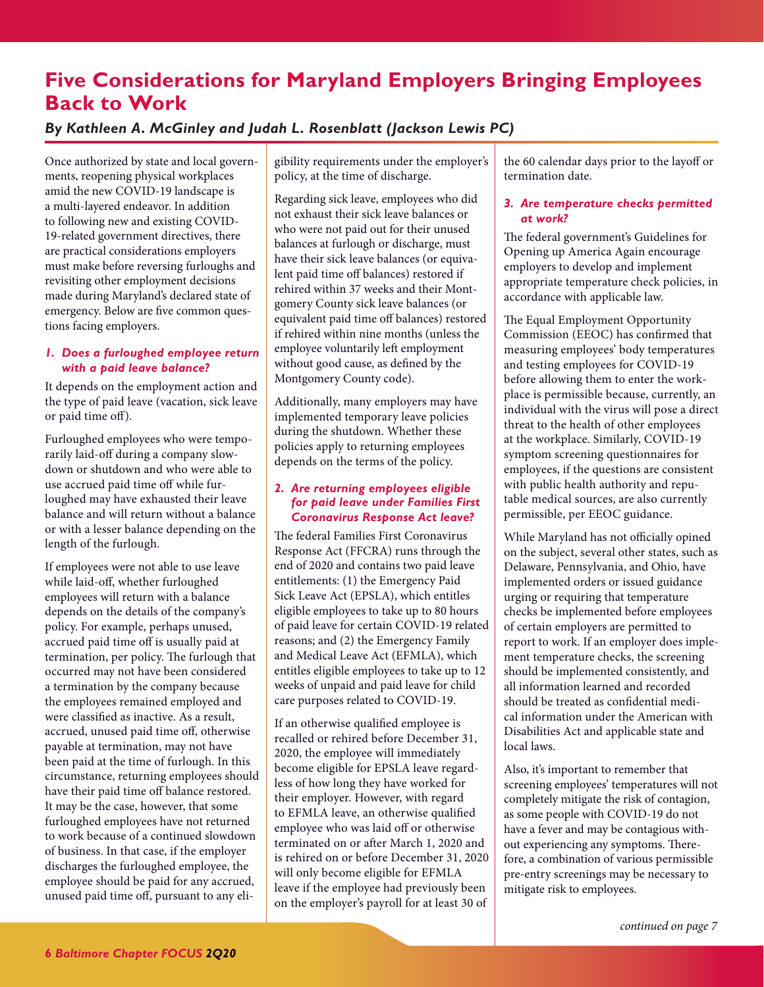# <span id="page-5-1"></span><span id="page-5-0"></span>**Five Considerations for Maryland Employers Bringing Employees Back to Work**

## *By Kathleen A. McGinley and Judah L. Rosenblatt (Jackson Lewis PC)*

Once authorized by state and local governments, reopening physical workplaces amid the new COVID-19 landscape is a multi-layered endeavor. In addition to following new and existing COVID-19-related government directives, there are practical considerations employers must make before reversing furloughs and revisiting other employment decisions made during Maryland's declared state of emergency. Below are fve common questions facing employers.

#### *1. Does a furloughed employee return with a paid leave balance?*

It depends on the employment action and the type of paid leave (vacation, sick leave or paid time of).

Furloughed employees who were temporarily laid-off during a company slowdown or shutdown and who were able to use accrued paid time off while furloughed may have exhausted their leave balance and will return without a balance or with a lesser balance depending on the length of the furlough.

If employees were not able to use leave while laid-of, whether furloughed employees will return with a balance depends on the details of the company's policy. For example, perhaps unused, accrued paid time off is usually paid at termination, per policy. The furlough that occurred may not have been considered a termination by the company because the employees remained employed and were classifed as inactive. As a result, accrued, unused paid time of, otherwise payable at termination, may not have been paid at the time of furlough. In this circumstance, returning employees should have their paid time off balance restored. It may be the case, however, that some furloughed employees have not returned to work because of a continued slowdown of business. In that case, if the employer discharges the furloughed employee, the employee should be paid for any accrued, unused paid time of, pursuant to any eligibility requirements under the employer's policy, at the time of discharge.

Regarding sick leave, employees who did not exhaust their sick leave balances or who were not paid out for their unused balances at furlough or discharge, must have their sick leave balances (or equivalent paid time off balances) restored if rehired within 37 weeks and their Montgomery County sick leave balances (or equivalent paid time off balances) restored if rehired within nine months (unless the employee voluntarily left employment without good cause, as defned by the Montgomery County code).

Additionally, many employers may have implemented temporary leave policies during the shutdown. Whether these policies apply to returning employees depends on the terms of the policy.

#### *2. Are returning employees eligible for paid leave under Families First Coronavirus Response Act leave?*

The federal Families First Coronavirus Response Act (FFCRA) runs through the end of 2020 and contains two paid leave entitlements: (1) the Emergency Paid Sick Leave Act (EPSLA), which entitles eligible employees to take up to 80 hours of paid leave for certain COVID-19 related reasons; and (2) the Emergency Family and Medical Leave Act (EFMLA), which entitles eligible employees to take up to 12 weeks of unpaid and paid leave for child care purposes related to COVID-19.

If an otherwise qualifed employee is recalled or rehired before December 31, 2020, the employee will immediately become eligible for EPSLA leave regardless of how long they have worked for their employer. However, with regard to EFMLA leave, an otherwise qualifed employee who was laid off or otherwise terminated on or after March 1, 2020 and is rehired on or before December 31, 2020 will only become eligible for EFMLA leave if the employee had previously been on the employer's payroll for at least 30 of

the 60 calendar days prior to the layoff or termination date.

#### *3. Are temperature checks permitted at work?*

The federal government's Guidelines for Opening up America Again encourage employers to develop and implement appropriate temperature check policies, in accordance with applicable law.

The Equal Employment Opportunity Commission (EEOC) has confrmed that measuring employees' body temperatures and testing employees for COVID-19 before allowing them to enter the workplace is permissible because, currently, an individual with the virus will pose a direct threat to the health of other employees at the workplace. Similarly, COVID-19 symptom screening questionnaires for employees, if the questions are consistent with public health authority and reputable medical sources, are also currently permissible, per EEOC guidance.

While Maryland has not officially opined on the subject, several other states, such as Delaware, Pennsylvania, and Ohio, have implemented orders or issued guidance urging or requiring that temperature checks be implemented before employees of certain employers are permitted to report to work. If an employer does implement temperature checks, the screening should be implemented consistently, and all information learned and recorded should be treated as confdential medical information under the American with Disabilities Act and applicable state and local laws.

Also, it's important to remember that screening employees' temperatures will not completely mitigate the risk of contagion, as some people with COVID-19 do not have a fever and may be contagious without experiencing any symptoms. Therefore, a combination of various permissible pre-entry screenings may be necessary to mitigate risk to employees.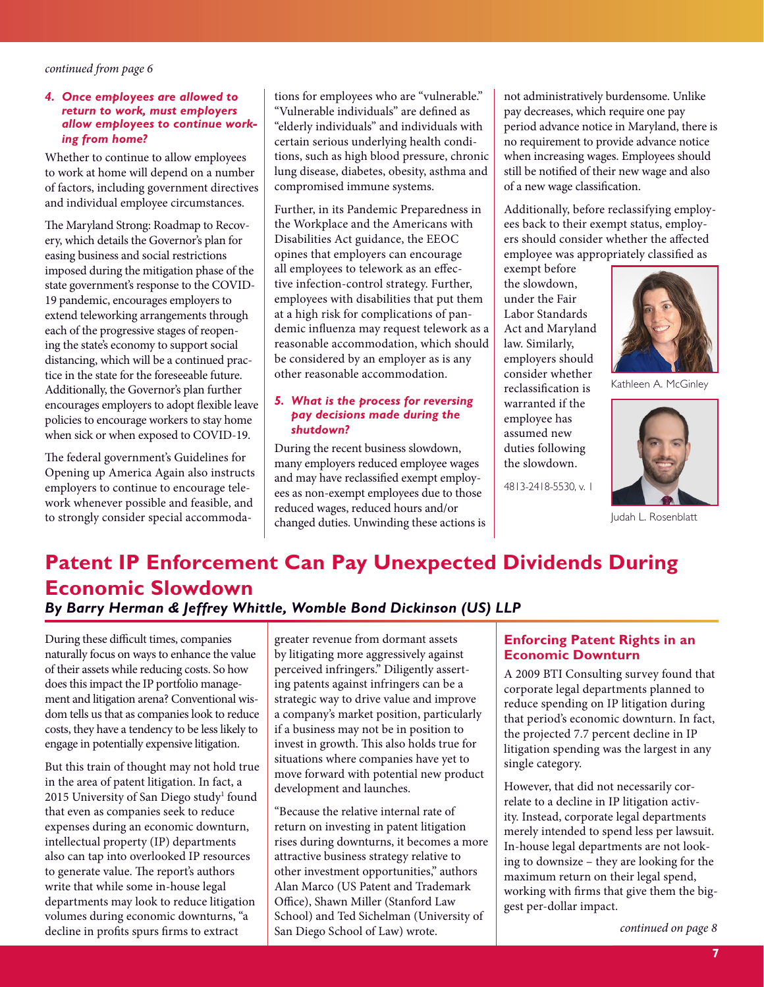#### <span id="page-6-1"></span>*4. Once employees are allowed to return to work, must employers allow employees to continue working from home?*

Whether to continue to allow employees to work at home will depend on a number of factors, including government directives and individual employee circumstances.

The Maryland Strong: Roadmap to Recovery, which details the Governor's plan for easing business and social restrictions imposed during the mitigation phase of the state government's response to the COVID-19 pandemic, encourages employers to extend teleworking arrangements through each of the progressive stages of reopening the state's economy to support social distancing, which will be a continued practice in the state for the foreseeable future. Additionally, the Governor's plan further encourages employers to adopt fexible leave policies to encourage workers to stay home when sick or when exposed to COVID-19.

The federal government's Guidelines for Opening up America Again also instructs employers to continue to encourage telework whenever possible and feasible, and to strongly consider special accommodations for employees who are "vulnerable." "Vulnerable individuals" are defned as "elderly individuals" and individuals with certain serious underlying health conditions, such as high blood pressure, chronic lung disease, diabetes, obesity, asthma and compromised immune systems.

Further, in its Pandemic Preparedness in the Workplace and the Americans with Disabilities Act guidance, the EEOC opines that employers can encourage all employees to telework as an efective infection-control strategy. Further, employees with disabilities that put them at a high risk for complications of pandemic infuenza may request telework as a reasonable accommodation, which should be considered by an employer as is any other reasonable accommodation.

#### *5. What is the process for reversing pay decisions made during the shutdown?*

During the recent business slowdown, many employers reduced employee wages and may have reclassifed exempt employees as non-exempt employees due to those reduced wages, reduced hours and/or changed duties. Unwinding these actions is not administratively burdensome. Unlike pay decreases, which require one pay period advance notice in Maryland, there is no requirement to provide advance notice when increasing wages. Employees should still be notifed of their new wage and also of a new wage classifcation.

Additionally, before reclassifying employees back to their exempt status, employers should consider whether the afected employee was appropriately classifed as

exempt before the slowdown, under the Fair Labor Standards Act and Maryland law. Similarly, employers should consider whether reclassifcation is warranted if the employee has assumed new duties following the slowdown.

4813-2418-5530, v. 1



Kathleen A. McGinley



Judah L. Rosenblatt

# <span id="page-6-0"></span>**Patent IP Enforcement Can Pay Unexpected Dividends During Economic Slowdown**  *By Barry Herman & Jeffrey Whittle, Womble Bond Dickinson (US) LL[P](https://shawe.com/attorneys/elizabeth-torphy-donzella/)*

During these difficult times, companies naturally focus on ways to enhance the value of their assets while reducing costs. So how does this impact the IP portfolio management and litigation arena? Conventional wisdom tells us that as companies look to reduce costs, they have a tendency to be less likely to engage in potentially expensive litigation.

But this train of thought may not hold true in the area of patent litigation. In fact, a 2015 University of San Diego study<sup>1</sup> found that even as companies seek to reduce expenses during an economic downturn, intellectual property (IP) departments also can tap into overlooked IP resources to generate value. The report's authors write that while some in-house legal departments may look to reduce litigation volumes during economic downturns, "a decline in profts spurs frms to extract

greater revenue from dormant assets by litigating more aggressively against perceived infringers." Diligently asserting patents against infringers can be a strategic way to drive value and improve a company's market position, particularly if a business may not be in position to invest in growth. This also holds true for situations where companies have yet to move forward with potential new product development and launches.

"Because the relative internal rate of return on investing in patent litigation rises during downturns, it becomes a more attractive business strategy relative to other investment opportunities," authors Alan Marco (US Patent and Trademark Office), Shawn Miller (Stanford Law School) and Ted Sichelman (University of San Diego School of Law) wrote.

### **Enforcing Patent Rights in an Economic Downturn**

A 2009 BTI Consulting survey found that corporate legal departments planned to reduce spending on IP litigation during that period's economic downturn. In fact, the projected 7.7 percent decline in IP litigation spending was the largest in any single category.

However, that did not necessarily correlate to a decline in IP litigation activity. Instead, corporate legal departments merely intended to spend less per lawsuit. In-house legal departments are not looking to downsize – they are looking for the maximum return on their legal spend, working with frms that give them the biggest per-dollar impact.

*[continued on page 8](#page-7-0)*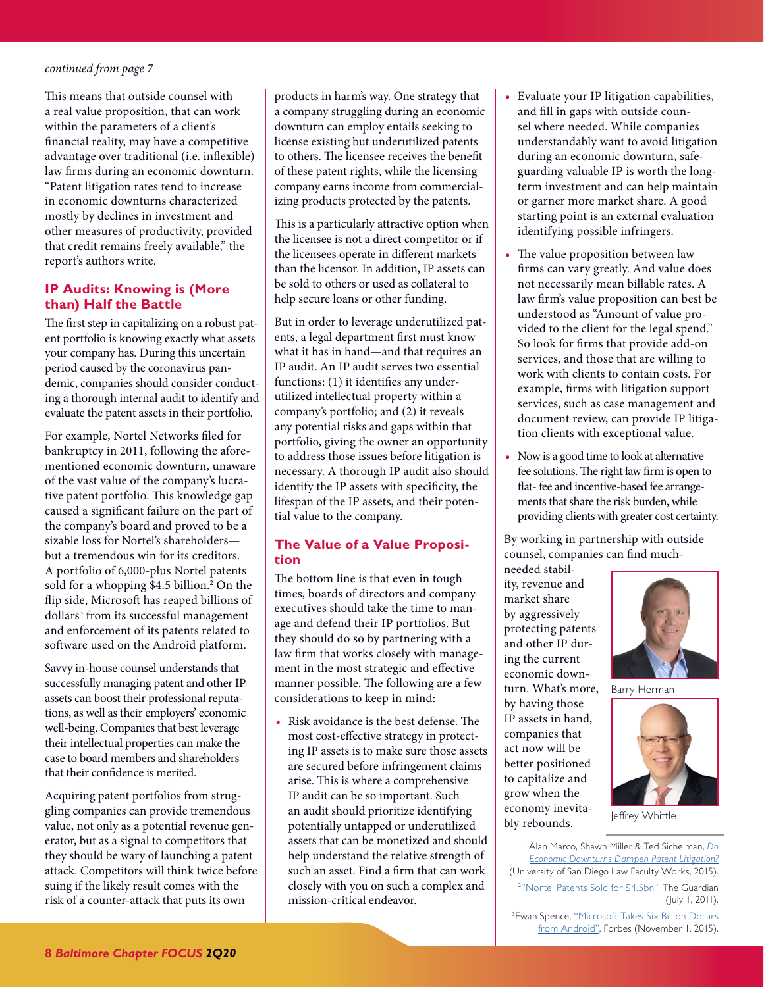<span id="page-7-0"></span>This means that outside counsel with a real value proposition, that can work within the parameters of a client's fnancial reality, may have a competitive advantage over traditional (i.e. infexible) law frms during an economic downturn. "Patent litigation rates tend to increase in economic downturns characterized mostly by declines in investment and other measures of productivity, provided that credit remains freely available," the report's authors write.

#### **IP Audits: Knowing is (More than) Half the Battle**

The first step in capitalizing on a robust patent portfolio is knowing exactly what assets your company has. During this uncertain period caused by the coronavirus pandemic, companies should consider conducting a thorough internal audit to identify and evaluate the patent assets in their portfolio.

For example, Nortel Networks fled for bankruptcy in 2011, following the aforementioned economic downturn, unaware of the vast value of the company's lucrative patent portfolio. This knowledge gap caused a signifcant failure on the part of the company's board and proved to be a sizable loss for Nortel's shareholders but a tremendous win for its creditors. A portfolio of 6,000-plus Nortel patents sold for a whopping \$4.5 billion.<sup>2</sup> On the flip side, Microsoft has reaped billions of dollars<sup>3</sup> from its successful management and enforcement of its patents related to sofware used on the Android platform.

Savvy in-house counsel understands that successfully managing patent and other IP assets can boost their professional reputations, as well as their employers' economic well-being. Companies that best leverage their intellectual properties can make the case to board members and shareholders that their confdence is merited.

Acquiring patent portfolios from struggling companies can provide tremendous value, not only as a potential revenue generator, but as a signal to competitors that they should be wary of launching a patent attack. Competitors will think twice before suing if the likely result comes with the risk of a counter-attack that puts its own

products in harm's way. One strategy that a company struggling during an economic downturn can employ entails seeking to license existing but underutilized patents to others. The licensee receives the benefit of these patent rights, while the licensing company earns income from commercializing products protected by the patents.

This is a particularly attractive option when the licensee is not a direct competitor or if the licensees operate in diferent markets than the licensor. In addition, IP assets can be sold to others or used as collateral to help secure loans or other funding.

But in order to leverage underutilized patents, a legal department frst must know what it has in hand—and that requires an IP audit. An IP audit serves two essential functions: (1) it identifes any underutilized intellectual property within a company's portfolio; and (2) it reveals any potential risks and gaps within that portfolio, giving the owner an opportunity to address those issues before litigation is necessary. A thorough IP audit also should identify the IP assets with specifcity, the lifespan of the IP assets, and their potential value to the company.

#### **The Value of a Value Proposition**

The bottom line is that even in tough times, boards of directors and company executives should take the time to manage and defend their IP portfolios. But they should do so by partnering with a law frm that works closely with management in the most strategic and efective manner possible. The following are a few considerations to keep in mind:

• Risk avoidance is the best defense. The most cost-efective strategy in protecting IP assets is to make sure those assets are secured before infringement claims arise. This is where a comprehensive IP audit can be so important. Such an audit should prioritize identifying potentially untapped or underutilized assets that can be monetized and should help understand the relative strength of such an asset. Find a frm that can work closely with you on such a complex and mission-critical endeavor.

- **•** Evaluate your IP litigation capabilities, and fll in gaps with outside counsel where needed. While companies understandably want to avoid litigation during an economic downturn, safeguarding valuable IP is worth the longterm investment and can help maintain or garner more market share. A good starting point is an external evaluation identifying possible infringers.
- The value proposition between law frms can vary greatly. And value does not necessarily mean billable rates. A law frm's value proposition can best be understood as "Amount of value provided to the client for the legal spend." So look for frms that provide add-on services, and those that are willing to work with clients to contain costs. For example, frms with litigation support services, such as case management and document review, can provide IP litigation clients with exceptional value.
- **•** Now is a good time to look at alternative fee solutions. The right law firm is open to fat- fee and incentive-based fee arrangements that share the risk burden, while providing clients with greater cost certainty.

By working in partnership with outside counsel, companies can fnd much-

needed stability, revenue and market share by aggressively protecting patents and other IP during the current economic downturn. What's more, by having those IP assets in hand, companies that act now will be better positioned to capitalize and grow when the economy inevitably rebounds.



Barry Herman



Jeffrey Whittle

1 Alan Marco, Shawn Miller & Ted Sichelman, *[Do](https://digital.sandiego.edu/cgi/viewcontent.cgi?article=1003&context=law_fac_works) [Economic Downturns Dampen Patent Litigation?](https://digital.sandiego.edu/cgi/viewcontent.cgi?article=1003&context=law_fac_works)* (University of San Diego Law Faculty Works, 2015). <sup>2</sup>["Nortel Patents Sold for \\$4.5bn"](https://www.theguardian.com/technology/2011/jul/01/nortel-patents-sold-apple-sony-microsoft), The Guardian (July 1, 2011). <sup>3</sup> Ewan Spence, "Microsoft Takes Six Billion Dollars

[from Android"](https://www.forbes.com/sites/ewanspence/2015/11/01/microsoft-android-patent-income/#2e3d3bb5c6cb), Forbes (November 1, 2015).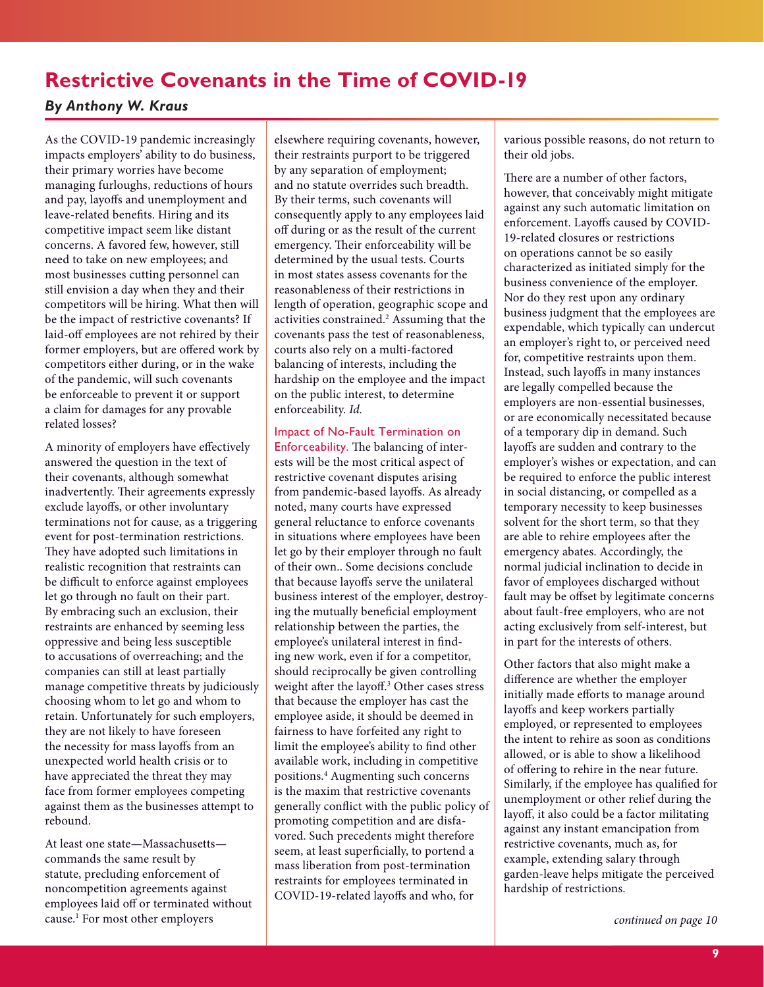# <span id="page-8-1"></span><span id="page-8-0"></span>**Restrictive Covenants in the Time of COVID-19**

### *By Anthony W. Kraus*

As the COVID-19 pandemic increasingly impacts employers' ability to do business, their primary worries have become managing furloughs, reductions of hours and pay, layofs and unemployment and leave-related benefts. Hiring and its competitive impact seem like distant concerns. A favored few, however, still need to take on new employees; and most businesses cutting personnel can still envision a day when they and their competitors will be hiring. What then will be the impact of restrictive covenants? If laid-off employees are not rehired by their former employers, but are offered work by competitors either during, or in the wake of the pandemic, will such covenants be enforceable to prevent it or support a claim for damages for any provable related losses?

A minority of employers have efectively answered the question in the text of their covenants, although somewhat inadvertently. Their agreements expressly exclude layofs, or other involuntary terminations not for cause, as a triggering event for post-termination restrictions. They have adopted such limitations in realistic recognition that restraints can be difficult to enforce against employees let go through no fault on their part. By embracing such an exclusion, their restraints are enhanced by seeming less oppressive and being less susceptible to accusations of overreaching; and the companies can still at least partially manage competitive threats by judiciously choosing whom to let go and whom to retain. Unfortunately for such employers, they are not likely to have foreseen the necessity for mass layofs from an unexpected world health crisis or to have appreciated the threat they may face from former employees competing against them as the businesses attempt to rebound.

At least one state—Massachusetts commands the same result by statute, precluding enforcement of noncompetition agreements against employees laid off or terminated without cause.1 For most other employers

elsewhere requiring covenants, however, their restraints purport to be triggered by any separation of employment; and no statute overrides such breadth. By their terms, such covenants will consequently apply to any employees laid of during or as the result of the current emergency. Their enforceability will be determined by the usual tests. Courts in most states assess covenants for the reasonableness of their restrictions in length of operation, geographic scope and activities constrained.<sup>2</sup> Assuming that the covenants pass the test of reasonableness, courts also rely on a multi-factored balancing of interests, including the hardship on the employee and the impact on the public interest, to determine enforceability. *Id.*

#### Impact of No-Fault Termination on

Enforceability. The balancing of interests will be the most critical aspect of restrictive covenant disputes arising from pandemic-based layofs. As already noted, many courts have expressed general reluctance to enforce covenants in situations where employees have been let go by their employer through no fault of their own.. Some decisions conclude that because layofs serve the unilateral business interest of the employer, destroying the mutually benefcial employment relationship between the parties, the employee's unilateral interest in fnding new work, even if for a competitor, should reciprocally be given controlling weight after the layoff.<sup>3</sup> Other cases stress that because the employer has cast the employee aside, it should be deemed in fairness to have forfeited any right to limit the employee's ability to fnd other available work, including in competitive positions.4 Augmenting such concerns is the maxim that restrictive covenants generally confict with the public policy of promoting competition and are disfavored. Such precedents might therefore seem, at least superfcially, to portend a mass liberation from post-termination restraints for employees terminated in COVID-19-related layofs and who, for

various possible reasons, do not return to their old jobs.

There are a number of other factors, however, that conceivably might mitigate against any such automatic limitation on enforcement. Layofs caused by COVID-19-related closures or restrictions on operations cannot be so easily characterized as initiated simply for the business convenience of the employer. Nor do they rest upon any ordinary business judgment that the employees are expendable, which typically can undercut an employer's right to, or perceived need for, competitive restraints upon them. Instead, such layofs in many instances are legally compelled because the employers are non-essential businesses, or are economically necessitated because of a temporary dip in demand. Such layofs are sudden and contrary to the employer's wishes or expectation, and can be required to enforce the public interest in social distancing, or compelled as a temporary necessity to keep businesses solvent for the short term, so that they are able to rehire employees afer the emergency abates. Accordingly, the normal judicial inclination to decide in favor of employees discharged without fault may be offset by legitimate concerns about fault-free employers, who are not acting exclusively from self-interest, but in part for the interests of others.

Other factors that also might make a diference are whether the employer initially made eforts to manage around layofs and keep workers partially employed, or represented to employees the intent to rehire as soon as conditions allowed, or is able to show a likelihood of ofering to rehire in the near future. Similarly, if the employee has qualifed for unemployment or other relief during the layoff, it also could be a factor militating against any instant emancipation from restrictive covenants, much as, for example, extending salary through garden-leave helps mitigate the perceived hardship of restrictions.

*[continued on page 10](#page-9-0)*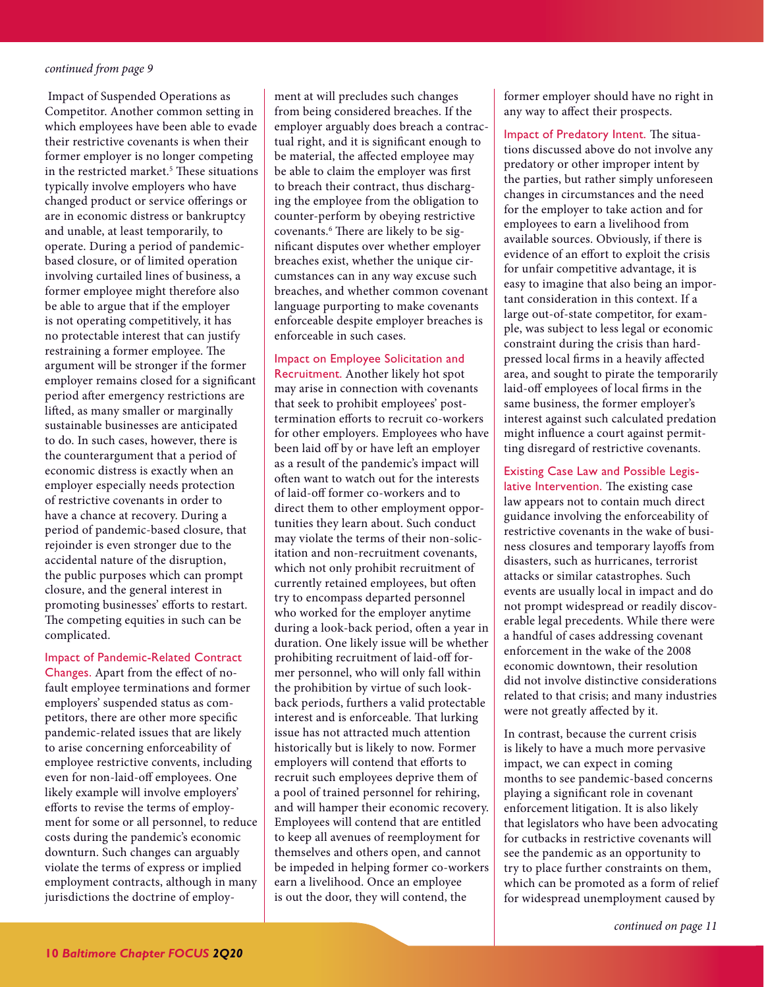<span id="page-9-0"></span> Impact of Suspended Operations as Competitor. Another common setting in which employees have been able to evade their restrictive covenants is when their former employer is no longer competing in the restricted market.<sup>5</sup> These situations typically involve employers who have changed product or service oferings or are in economic distress or bankruptcy and unable, at least temporarily, to operate. During a period of pandemicbased closure, or of limited operation involving curtailed lines of business, a former employee might therefore also be able to argue that if the employer is not operating competitively, it has no protectable interest that can justify restraining a former employee. The argument will be stronger if the former employer remains closed for a signifcant period after emergency restrictions are lifed, as many smaller or marginally sustainable businesses are anticipated to do. In such cases, however, there is the counterargument that a period of economic distress is exactly when an employer especially needs protection of restrictive covenants in order to have a chance at recovery. During a period of pandemic-based closure, that rejoinder is even stronger due to the accidental nature of the disruption, the public purposes which can prompt closure, and the general interest in promoting businesses' efforts to restart. The competing equities in such can be complicated.

#### Impact of Pandemic-Related Contract

Changes. Apart from the efect of nofault employee terminations and former employers' suspended status as competitors, there are other more specifc pandemic-related issues that are likely to arise concerning enforceability of employee restrictive convents, including even for non-laid-off employees. One likely example will involve employers' efforts to revise the terms of employment for some or all personnel, to reduce costs during the pandemic's economic downturn. Such changes can arguably violate the terms of express or implied employment contracts, although in many jurisdictions the doctrine of employment at will precludes such changes from being considered breaches. If the employer arguably does breach a contractual right, and it is signifcant enough to be material, the afected employee may be able to claim the employer was frst to breach their contract, thus discharging the employee from the obligation to counter-perform by obeying restrictive covenants.<sup>6</sup> There are likely to be signifcant disputes over whether employer breaches exist, whether the unique circumstances can in any way excuse such breaches, and whether common covenant language purporting to make covenants enforceable despite employer breaches is enforceable in such cases.

Impact on Employee Solicitation and Recruitment. Another likely hot spot may arise in connection with covenants that seek to prohibit employees' posttermination eforts to recruit co-workers for other employers. Employees who have been laid off by or have left an employer as a result of the pandemic's impact will ofen want to watch out for the interests of laid-off former co-workers and to direct them to other employment opportunities they learn about. Such conduct may violate the terms of their non-solicitation and non-recruitment covenants, which not only prohibit recruitment of currently retained employees, but ofen try to encompass departed personnel who worked for the employer anytime during a look-back period, often a year in duration. One likely issue will be whether prohibiting recruitment of laid-off former personnel, who will only fall within the prohibition by virtue of such lookback periods, furthers a valid protectable interest and is enforceable. That lurking issue has not attracted much attention historically but is likely to now. Former employers will contend that eforts to recruit such employees deprive them of a pool of trained personnel for rehiring, and will hamper their economic recovery. Employees will contend that are entitled to keep all avenues of reemployment for themselves and others open, and cannot be impeded in helping former co-workers earn a livelihood. Once an employee is out the door, they will contend, the

former employer should have no right in any way to afect their prospects.

Impact of Predatory Intent. The situations discussed above do not involve any predatory or other improper intent by the parties, but rather simply unforeseen changes in circumstances and the need for the employer to take action and for employees to earn a livelihood from available sources. Obviously, if there is evidence of an effort to exploit the crisis for unfair competitive advantage, it is easy to imagine that also being an important consideration in this context. If a large out-of-state competitor, for example, was subject to less legal or economic constraint during the crisis than hardpressed local frms in a heavily afected area, and sought to pirate the temporarily laid-of employees of local frms in the same business, the former employer's interest against such calculated predation might infuence a court against permitting disregard of restrictive covenants.

Existing Case Law and Possible Legislative Intervention. The existing case law appears not to contain much direct guidance involving the enforceability of restrictive covenants in the wake of business closures and temporary layofs from disasters, such as hurricanes, terrorist attacks or similar catastrophes. Such events are usually local in impact and do not prompt widespread or readily discoverable legal precedents. While there were a handful of cases addressing covenant enforcement in the wake of the 2008 economic downtown, their resolution did not involve distinctive considerations related to that crisis; and many industries were not greatly afected by it.

In contrast, because the current crisis is likely to have a much more pervasive impact, we can expect in coming months to see pandemic-based concerns playing a signifcant role in covenant enforcement litigation. It is also likely that legislators who have been advocating for cutbacks in restrictive covenants will see the pandemic as an opportunity to try to place further constraints on them, which can be promoted as a form of relief for widespread unemployment caused by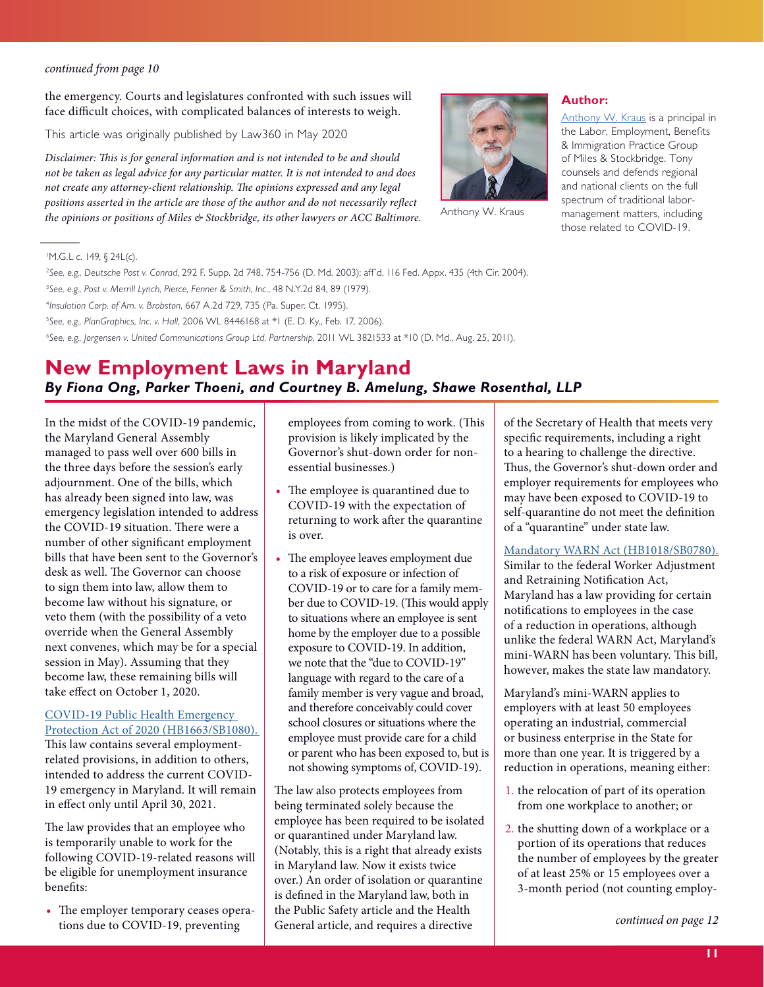<span id="page-10-1"></span>the emergency. Courts and legislatures confronted with such issues will face difficult choices, with complicated balances of interests to weigh.

This article was originally published by Law360 in May 2020

*Disclaimer:* T*is is for general information and is not intended to be and should not be taken as legal advice for any particular matter. It is not intended to and does not create any attorney-client relationship.* T*e opinions expressed and any legal positions asserted in the article are those of the author and do not necessarily re*f*ect the opinions or positions of Miles & Stockbridge, its other lawyers or ACC Baltimore.*



Anthony W. Kraus

#### **Author:**

[Anthony W. Kraus](https://www.mslaw.com/anthony-w-kraus) is a principal in the Labor, Employment, Benefits & Immigration Practice Group of Miles & Stockbridge. Tony counsels and defends regional and national clients on the full spectrum of traditional labormanagement matters, including those related to COVID-19.

#### 1 M.G.L c. 149, § 24L(c).

 *See, e.g., Deutsche Post v. Conrad*, 292 F. Supp. 2d 748, 754-756 (D. Md. 2003); aff'd, 116 Fed. Appx. 435 (4th Cir. 2004). *See, e.g., Post v. Merrill Lynch, Pierce, Fenner & Smith, Inc.*, 48 N.Y.2d 84, 89 (1979). *Insulation Corp. of Am. v. Brobston*, 667 A.2d 729, 735 (Pa. Super. Ct. 1995). *See, e.g., PlanGraphics, Inc. v. Hall*, 2006 WL 8446168 at \*1 (E. D. Ky., Feb. 17, 2006). *See, e.g., Jorgensen v. United Communications Group Ltd. Partnership*, 2011 WL 3821533 at \*10 (D. Md., Aug. 25, 2011).

## <span id="page-10-0"></span>**New Employment Laws in Maryland**  *By Fiona Ong, Parker Thoeni, and Courtney B. Amelung, Shawe Rosenthal, LLP*

In the midst of the COVID-19 pandemic, the Maryland General Assembly managed to pass well over 600 bills in the three days before the session's early adjournment. One of the bills, which has already been signed into law, was emergency legislation intended to address the COVID-19 situation. There were a number of other signifcant employment bills that have been sent to the Governor's desk as well. The Governor can choose to sign them into law, allow them to become law without his signature, or veto them (with the possibility of a veto override when the General Assembly next convenes, which may be for a special session in May). Assuming that they become law, these remaining bills will take efect on October 1, 2020.

#### [COVID-19 Public Health Emergency](http://mgaleg.maryland.gov/mgawebsite/Legislation/Details/HB1663)  [Protection Act of 2020 \(HB1663/SB1080\).](http://mgaleg.maryland.gov/mgawebsite/Legislation/Details/HB1663)  This law contains several employmentrelated provisions, in addition to others, intended to address the current COVID-19 emergency in Maryland. It will remain in efect only until April 30, 2021.

The law provides that an employee who is temporarily unable to work for the following COVID-19-related reasons will be eligible for unemployment insurance benefts:

• The employer temporary ceases operations due to COVID-19, preventing

employees from coming to work. (This provision is likely implicated by the Governor's shut-down order for nonessential businesses.)

- The employee is quarantined due to COVID-19 with the expectation of returning to work after the quarantine is over.
- The employee leaves employment due to a risk of exposure or infection of COVID-19 or to care for a family member due to COVID-19. (This would apply to situations where an employee is sent home by the employer due to a possible exposure to COVID-19. In addition, we note that the "due to COVID-19" language with regard to the care of a family member is very vague and broad, and therefore conceivably could cover school closures or situations where the employee must provide care for a child or parent who has been exposed to, but is not showing symptoms of, COVID-19).

The law also protects employees from being terminated solely because the employee has been required to be isolated or quarantined under Maryland law. (Notably, this is a right that already exists in Maryland law. Now it exists twice over.) An order of isolation or quarantine is defned in the Maryland law, both in the Public Safety article and the Health General article, and requires a directive

of the Secretary of Health that meets very specifc requirements, including a right to a hearing to challenge the directive. Thus, the Governor's shut-down order and employer requirements for employees who may have been exposed to COVID-19 to self-quarantine do not meet the defnition of a "quarantine" under state law.

### [Mandatory WARN Act \(HB1018/SB0780\).](http://mgaleg.maryland.gov/mgawebsite/Legislation/Details/SB0780?ys=2020RS)

Similar to the federal Worker Adjustment and Retraining Notifcation Act, Maryland has a law providing for certain notifcations to employees in the case of a reduction in operations, although unlike the federal WARN Act, Maryland's mini-WARN has been voluntary. This bill, however, makes the state law mandatory.

Maryland's mini-WARN applies to employers with at least 50 employees operating an industrial, commercial or business enterprise in the State for more than one year. It is triggered by a reduction in operations, meaning either:

- 1. the relocation of part of its operation from one workplace to another; or
- 2. the shutting down of a workplace or a portion of its operations that reduces the number of employees by the greater of at least 25% or 15 employees over a 3-month period (not counting employ-

*[continued on page 12](#page-11-0)*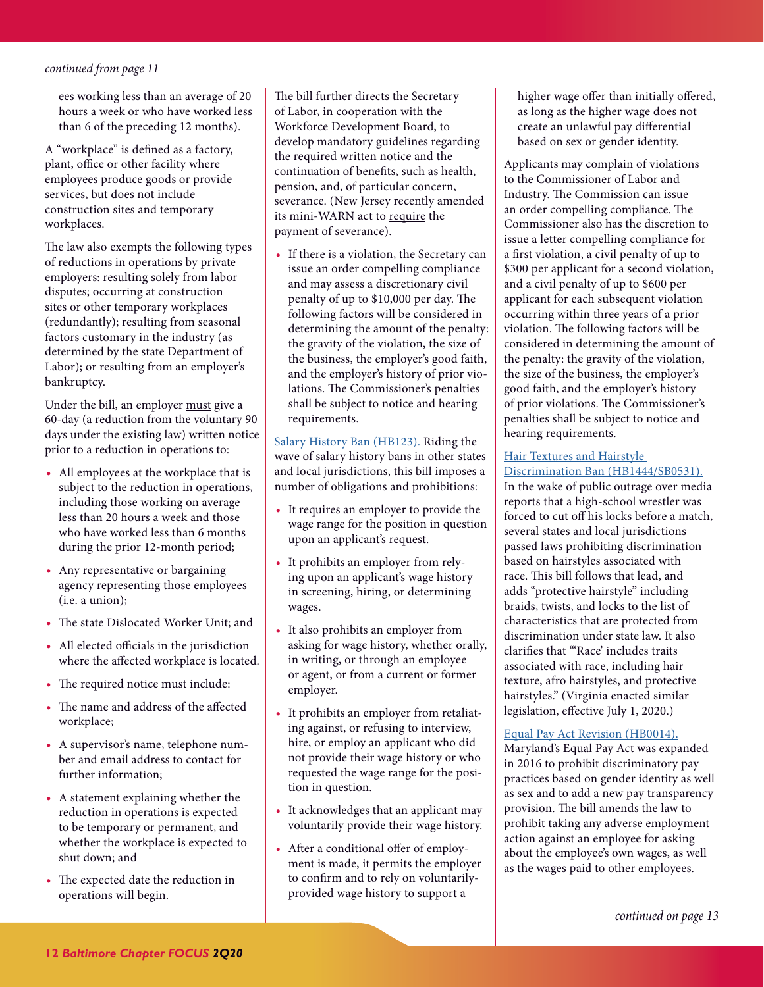<span id="page-11-0"></span>ees working less than an average of 20 hours a week or who have worked less than 6 of the preceding 12 months).

A "workplace" is defned as a factory, plant, office or other facility where employees produce goods or provide services, but does not include construction sites and temporary workplaces.

The law also exempts the following types of reductions in operations by private employers: resulting solely from labor disputes; occurring at construction sites or other temporary workplaces (redundantly); resulting from seasonal factors customary in the industry (as determined by the state Department of Labor); or resulting from an employer's bankruptcy.

Under the bill, an employer must give a 60-day (a reduction from the voluntary 90 days under the existing law) written notice prior to a reduction in operations to:

- **•** All employees at the workplace that is subject to the reduction in operations, including those working on average less than 20 hours a week and those who have worked less than 6 months during the prior 12-month period;
- **•** Any representative or bargaining agency representing those employees (i.e. a union);
- The state Dislocated Worker Unit; and
- All elected officials in the jurisdiction where the afected workplace is located.
- The required notice must include:
- The name and address of the affected workplace;
- **•** A supervisor's name, telephone number and email address to contact for further information;
- **•** A statement explaining whether the reduction in operations is expected to be temporary or permanent, and whether the workplace is expected to shut down; and
- The expected date the reduction in operations will begin.

The bill further directs the Secretary of Labor, in cooperation with the Workforce Development Board, to develop mandatory guidelines regarding the required written notice and the continuation of benefts, such as health, pension, and, of particular concern, severance. (New Jersey recently amended its mini-WARN act to require the payment of severance).

**•** If there is a violation, the Secretary can issue an order compelling compliance and may assess a discretionary civil penalty of up to \$10,000 per day. The following factors will be considered in determining the amount of the penalty: the gravity of the violation, the size of the business, the employer's good faith, and the employer's history of prior violations. The Commissioner's penalties shall be subject to notice and hearing requirements.

[Salary History Ban \(HB123\).](http://mgaleg.maryland.gov/mgawebsite/Legislation/Details/HB0123) Riding the wave of salary history bans in other states and local jurisdictions, this bill imposes a number of obligations and prohibitions:

- **•** It requires an employer to provide the wage range for the position in question upon an applicant's request.
- **•** It prohibits an employer from relying upon an applicant's wage history in screening, hiring, or determining wages.
- **•** It also prohibits an employer from asking for wage history, whether orally, in writing, or through an employee or agent, or from a current or former employer.
- **•** It prohibits an employer from retaliating against, or refusing to interview, hire, or employ an applicant who did not provide their wage history or who requested the wage range for the position in question.
- **•** It acknowledges that an applicant may voluntarily provide their wage history.
- After a conditional offer of employment is made, it permits the employer to confrm and to rely on voluntarilyprovided wage history to support a

higher wage offer than initially offered, as long as the higher wage does not create an unlawful pay diferential based on sex or gender identity.

Applicants may complain of violations to the Commissioner of Labor and Industry. The Commission can issue an order compelling compliance. The Commissioner also has the discretion to issue a letter compelling compliance for a frst violation, a civil penalty of up to \$300 per applicant for a second violation, and a civil penalty of up to \$600 per applicant for each subsequent violation occurring within three years of a prior violation. The following factors will be considered in determining the amount of the penalty: the gravity of the violation, the size of the business, the employer's good faith, and the employer's history of prior violations. The Commissioner's penalties shall be subject to notice and hearing requirements.

#### [Hair Textures and Hairstyle](http://mgaleg.maryland.gov/mgawebsite/Legislation/Details/sb0531)  [Discrimination Ban \(HB1444/SB0531\).](http://mgaleg.maryland.gov/mgawebsite/Legislation/Details/sb0531)

In the wake of public outrage over media reports that a high-school wrestler was forced to cut off his locks before a match, several states and local jurisdictions passed laws prohibiting discrimination based on hairstyles associated with race. This bill follows that lead, and adds "protective hairstyle" including braids, twists, and locks to the list of characteristics that are protected from discrimination under state law. It also clarifes that "'Race' includes traits associated with race, including hair texture, afro hairstyles, and protective hairstyles." (Virginia enacted similar legislation, efective July 1, 2020.)

#### [Equal Pay Act Revision \(HB0014\).](http://mgaleg.maryland.gov/mgawebsite/Legislation/Details/hb0014)

Maryland's Equal Pay Act was expanded in 2016 to prohibit discriminatory pay practices based on gender identity as well as sex and to add a new pay transparency provision. The bill amends the law to prohibit taking any adverse employment action against an employee for asking about the employee's own wages, as well as the wages paid to other employees.